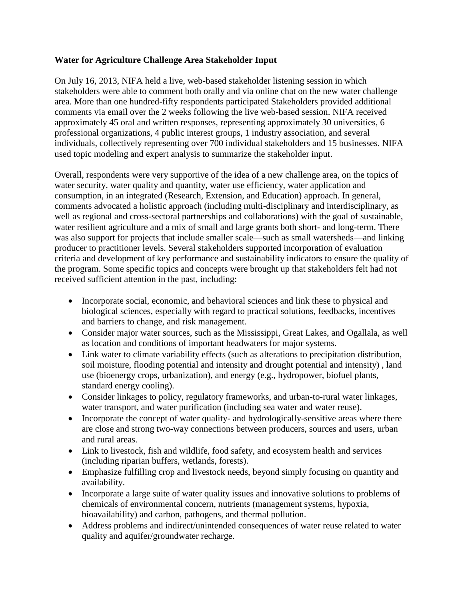## **Water for Agriculture Challenge Area Stakeholder Input**

On July 16, 2013, NIFA held a live, web-based stakeholder listening session in which stakeholders were able to comment both orally and via online chat on the new water challenge area. More than one hundred-fifty respondents participated Stakeholders provided additional comments via email over the 2 weeks following the live web-based session. NIFA received approximately 45 oral and written responses, representing approximately 30 universities, 6 professional organizations, 4 public interest groups, 1 industry association, and several individuals, collectively representing over 700 individual stakeholders and 15 businesses. NIFA used topic modeling and expert analysis to summarize the stakeholder input.

Overall, respondents were very supportive of the idea of a new challenge area, on the topics of water security, water quality and quantity, water use efficiency, water application and consumption, in an integrated (Research, Extension, and Education) approach. In general, comments advocated a holistic approach (including multi-disciplinary and interdisciplinary, as well as regional and cross-sectoral partnerships and collaborations) with the goal of sustainable, water resilient agriculture and a mix of small and large grants both short- and long-term. There was also support for projects that include smaller scale—such as small watersheds—and linking producer to practitioner levels. Several stakeholders supported incorporation of evaluation criteria and development of key performance and sustainability indicators to ensure the quality of the program. Some specific topics and concepts were brought up that stakeholders felt had not received sufficient attention in the past, including:

- Incorporate social, economic, and behavioral sciences and link these to physical and biological sciences, especially with regard to practical solutions, feedbacks, incentives and barriers to change, and risk management.
- Consider major water sources, such as the Mississippi, Great Lakes, and Ogallala, as well as location and conditions of important headwaters for major systems.
- Link water to climate variability effects (such as alterations to precipitation distribution, soil moisture, flooding potential and intensity and drought potential and intensity) , land use (bioenergy crops, urbanization), and energy (e.g., hydropower, biofuel plants, standard energy cooling).
- Consider linkages to policy, regulatory frameworks, and urban-to-rural water linkages, water transport, and water purification (including sea water and water reuse).
- Incorporate the concept of water quality- and hydrologically-sensitive areas where there are close and strong two-way connections between producers, sources and users, urban and rural areas.
- Link to livestock, fish and wildlife, food safety, and ecosystem health and services (including riparian buffers, wetlands, forests).
- Emphasize fulfilling crop and livestock needs, beyond simply focusing on quantity and availability.
- Incorporate a large suite of water quality issues and innovative solutions to problems of chemicals of environmental concern, nutrients (management systems, hypoxia, bioavailability) and carbon, pathogens, and thermal pollution.
- Address problems and indirect/unintended consequences of water reuse related to water quality and aquifer/groundwater recharge.